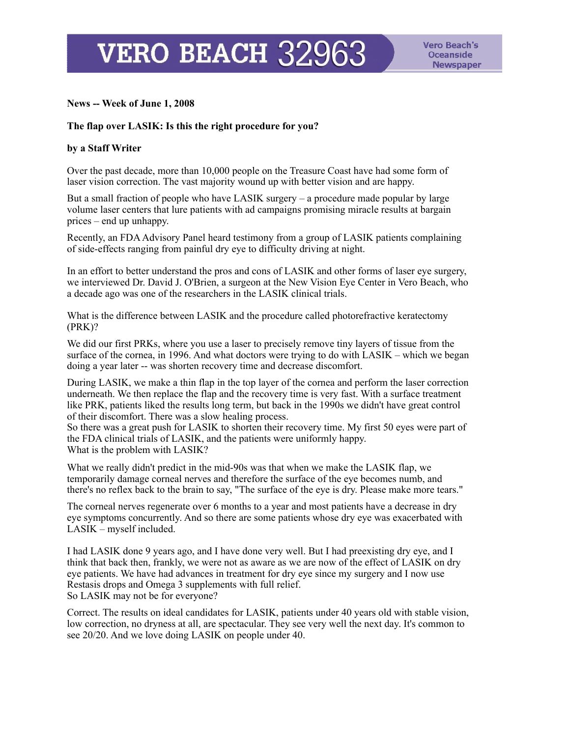**VERO BEACH 32963** 

## **News -- Week of June 1, 2008**

## **The flap over LASIK: Is this the right procedure for you?**

## **by a Staff Writer**

Over the past decade, more than 10,000 people on the Treasure Coast have had some form of laser vision correction. The vast majority wound up with better vision and are happy.

But a small fraction of people who have LASIK surgery – a procedure made popular by large volume laser centers that lure patients with ad campaigns promising miracle results at bargain prices – end up unhappy.

Recently, an FDA Advisory Panel heard testimony from a group of LASIK patients complaining of side-effects ranging from painful dry eye to difficulty driving at night.

In an effort to better understand the pros and cons of LASIK and other forms of laser eye surgery, we interviewed Dr. David J. O'Brien, a surgeon at the New Vision Eye Center in Vero Beach, who a decade ago was one of the researchers in the LASIK clinical trials.

What is the difference between LASIK and the procedure called photorefractive keratectomy (PRK)?

We did our first PRKs, where you use a laser to precisely remove tiny layers of tissue from the surface of the cornea, in 1996. And what doctors were trying to do with LASIK – which we began doing a year later -- was shorten recovery time and decrease discomfort.

During LASIK, we make a thin flap in the top layer of the cornea and perform the laser correction underneath. We then replace the flap and the recovery time is very fast. With a surface treatment like PRK, patients liked the results long term, but back in the 1990s we didn't have great control of their discomfort. There was a slow healing process.

So there was a great push for LASIK to shorten their recovery time. My first 50 eyes were part of the FDA clinical trials of LASIK, and the patients were uniformly happy. What is the problem with LASIK?

What we really didn't predict in the mid-90s was that when we make the LASIK flap, we temporarily damage corneal nerves and therefore the surface of the eye becomes numb, and there's no reflex back to the brain to say, "The surface of the eye is dry. Please make more tears."

The corneal nerves regenerate over 6 months to a year and most patients have a decrease in dry eye symptoms concurrently. And so there are some patients whose dry eye was exacerbated with LASIK – myself included.

I had LASIK done 9 years ago, and I have done very well. But I had preexisting dry eye, and I think that back then, frankly, we were not as aware as we are now of the effect of LASIK on dry eye patients. We have had advances in treatment for dry eye since my surgery and I now use Restasis drops and Omega 3 supplements with full relief. So LASIK may not be for everyone?

Correct. The results on ideal candidates for LASIK, patients under 40 years old with stable vision, low correction, no dryness at all, are spectacular. They see very well the next day. It's common to see 20/20. And we love doing LASIK on people under 40.